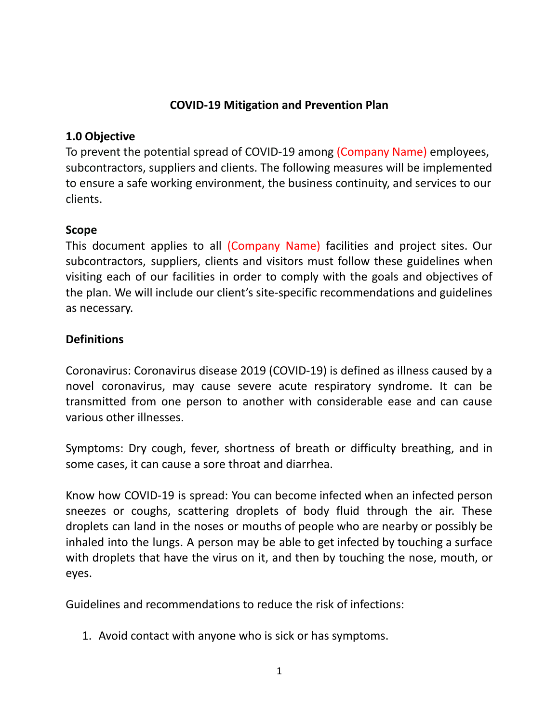## **COVID-19 Mitigation and Prevention Plan**

## **1.0 Objective**

To prevent the potential spread of COVID-19 among (Company Name) employees, subcontractors, suppliers and clients. The following measures will be implemented to ensure a safe working environment, the business continuity, and services to our clients.

### **Scope**

This document applies to all (Company Name) facilities and project sites. Our subcontractors, suppliers, clients and visitors must follow these guidelines when visiting each of our facilities in order to comply with the goals and objectives of the plan. We will include our client's site-specific recommendations and guidelines as necessary.

# **Definitions**

Coronavirus: Coronavirus disease 2019 (COVID-19) is defined as illness caused by a novel coronavirus, may cause severe acute respiratory syndrome. It can be transmitted from one person to another with considerable ease and can cause various other illnesses.

Symptoms: Dry cough, fever, shortness of breath or difficulty breathing, and in some cases, it can cause a sore throat and diarrhea.

Know how COVID-19 is spread: You can become infected when an infected person sneezes or coughs, scattering droplets of body fluid through the air. These droplets can land in the noses or mouths of people who are nearby or possibly be inhaled into the lungs. A person may be able to get infected by touching a surface with droplets that have the virus on it, and then by touching the nose, mouth, or eyes.

Guidelines and recommendations to reduce the risk of infections:

1. Avoid contact with anyone who is sick or has symptoms.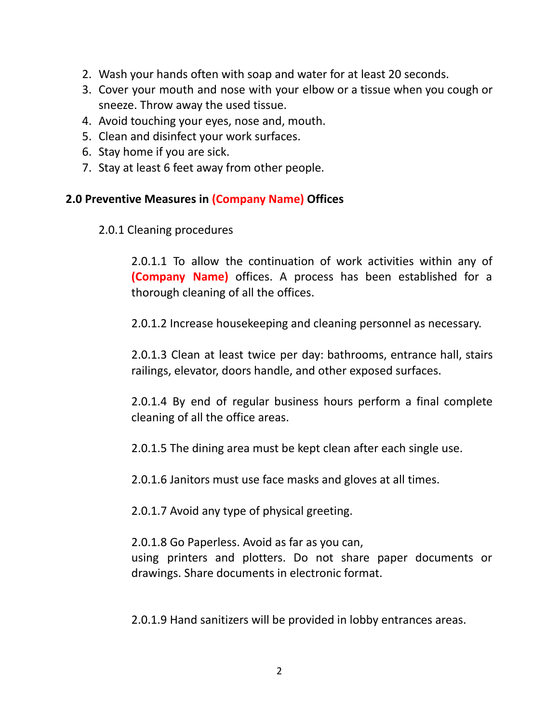- 2. Wash your hands often with soap and water for at least 20 seconds.
- 3. Cover your mouth and nose with your elbow or a tissue when you cough or sneeze. Throw away the used tissue.
- 4. Avoid touching your eyes, nose and, mouth.
- 5. Clean and disinfect your work surfaces.
- 6. Stay home if you are sick.
- 7. Stay at least 6 feet away from other people.

#### **2.0 Preventive Measures in (Company Name) Offices**

2.0.1 Cleaning procedures

2.0.1.1 To allow the continuation of work activities within any of **(Company Name)** offices. A process has been established for a thorough cleaning of all the offices.

2.0.1.2 Increase housekeeping and cleaning personnel as necessary.

2.0.1.3 Clean at least twice per day: bathrooms, entrance hall, stairs railings, elevator, doors handle, and other exposed surfaces.

2.0.1.4 By end of regular business hours perform a final complete cleaning of all the office areas.

2.0.1.5 The dining area must be kept clean after each single use.

2.0.1.6 Janitors must use face masks and gloves at all times.

2.0.1.7 Avoid any type of physical greeting.

2.0.1.8 Go Paperless. Avoid as far as you can, using printers and plotters. Do not share paper documents or drawings. Share documents in electronic format.

2.0.1.9 Hand sanitizers will be provided in lobby entrances areas.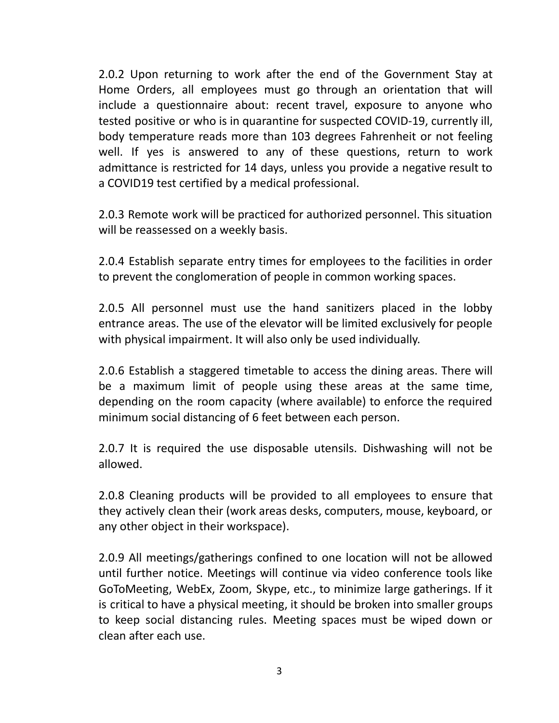2.0.2 Upon returning to work after the end of the Government Stay at Home Orders, all employees must go through an orientation that will include a questionnaire about: recent travel, exposure to anyone who tested positive or who is in quarantine for suspected COVID-19, currently ill, body temperature reads more than 103 degrees Fahrenheit or not feeling well. If yes is answered to any of these questions, return to work admittance is restricted for 14 days, unless you provide a negative result to a COVID19 test certified by a medical professional.

2.0.3 Remote work will be practiced for authorized personnel. This situation will be reassessed on a weekly basis.

2.0.4 Establish separate entry times for employees to the facilities in order to prevent the conglomeration of people in common working spaces.

2.0.5 All personnel must use the hand sanitizers placed in the lobby entrance areas. The use of the elevator will be limited exclusively for people with physical impairment. It will also only be used individually.

2.0.6 Establish a staggered timetable to access the dining areas. There will be a maximum limit of people using these areas at the same time, depending on the room capacity (where available) to enforce the required minimum social distancing of 6 feet between each person.

2.0.7 It is required the use disposable utensils. Dishwashing will not be allowed.

2.0.8 Cleaning products will be provided to all employees to ensure that they actively clean their (work areas desks, computers, mouse, keyboard, or any other object in their workspace).

2.0.9 All meetings/gatherings confined to one location will not be allowed until further notice. Meetings will continue via video conference tools like GoToMeeting, WebEx, Zoom, Skype, etc., to minimize large gatherings. If it is critical to have a physical meeting, it should be broken into smaller groups to keep social distancing rules. Meeting spaces must be wiped down or clean after each use.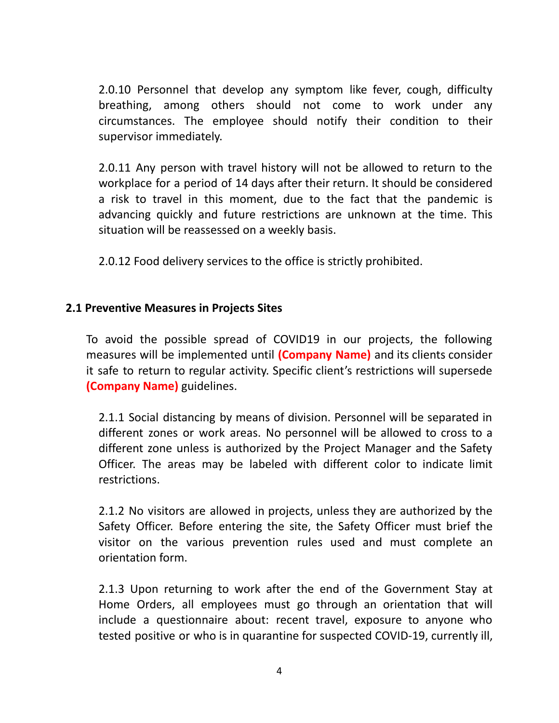2.0.10 Personnel that develop any symptom like fever, cough, difficulty breathing, among others should not come to work under any circumstances. The employee should notify their condition to their supervisor immediately.

2.0.11 Any person with travel history will not be allowed to return to the workplace for a period of 14 days after their return. It should be considered a risk to travel in this moment, due to the fact that the pandemic is advancing quickly and future restrictions are unknown at the time. This situation will be reassessed on a weekly basis.

2.0.12 Food delivery services to the office is strictly prohibited.

### **2.1 Preventive Measures in Projects Sites**

To avoid the possible spread of COVID19 in our projects, the following measures will be implemented until **(Company Name)** and its clients consider it safe to return to regular activity. Specific client's restrictions will supersede **(Company Name)** guidelines.

2.1.1 Social distancing by means of division. Personnel will be separated in different zones or work areas. No personnel will be allowed to cross to a different zone unless is authorized by the Project Manager and the Safety Officer. The areas may be labeled with different color to indicate limit restrictions.

2.1.2 No visitors are allowed in projects, unless they are authorized by the Safety Officer. Before entering the site, the Safety Officer must brief the visitor on the various prevention rules used and must complete an orientation form.

2.1.3 Upon returning to work after the end of the Government Stay at Home Orders, all employees must go through an orientation that will include a questionnaire about: recent travel, exposure to anyone who tested positive or who is in quarantine for suspected COVID-19, currently ill,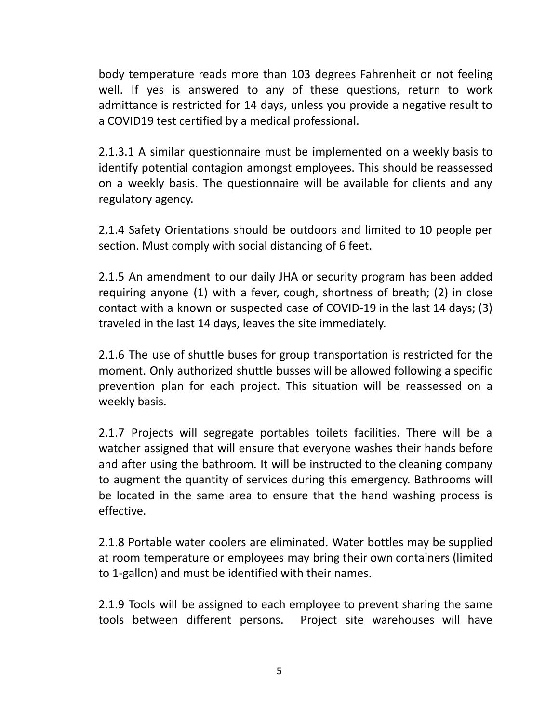body temperature reads more than 103 degrees Fahrenheit or not feeling well. If yes is answered to any of these questions, return to work admittance is restricted for 14 days, unless you provide a negative result to a COVID19 test certified by a medical professional.

2.1.3.1 A similar questionnaire must be implemented on a weekly basis to identify potential contagion amongst employees. This should be reassessed on a weekly basis. The questionnaire will be available for clients and any regulatory agency.

2.1.4 Safety Orientations should be outdoors and limited to 10 people per section. Must comply with social distancing of 6 feet.

2.1.5 An amendment to our daily JHA or security program has been added requiring anyone (1) with a fever, cough, shortness of breath; (2) in close contact with a known or suspected case of COVID-19 in the last 14 days; (3) traveled in the last 14 days, leaves the site immediately.

2.1.6 The use of shuttle buses for group transportation is restricted for the moment. Only authorized shuttle busses will be allowed following a specific prevention plan for each project. This situation will be reassessed on a weekly basis.

2.1.7 Projects will segregate portables toilets facilities. There will be a watcher assigned that will ensure that everyone washes their hands before and after using the bathroom. It will be instructed to the cleaning company to augment the quantity of services during this emergency. Bathrooms will be located in the same area to ensure that the hand washing process is effective.

2.1.8 Portable water coolers are eliminated. Water bottles may be supplied at room temperature or employees may bring their own containers (limited to 1-gallon) and must be identified with their names.

2.1.9 Tools will be assigned to each employee to prevent sharing the same tools between different persons. Project site warehouses will have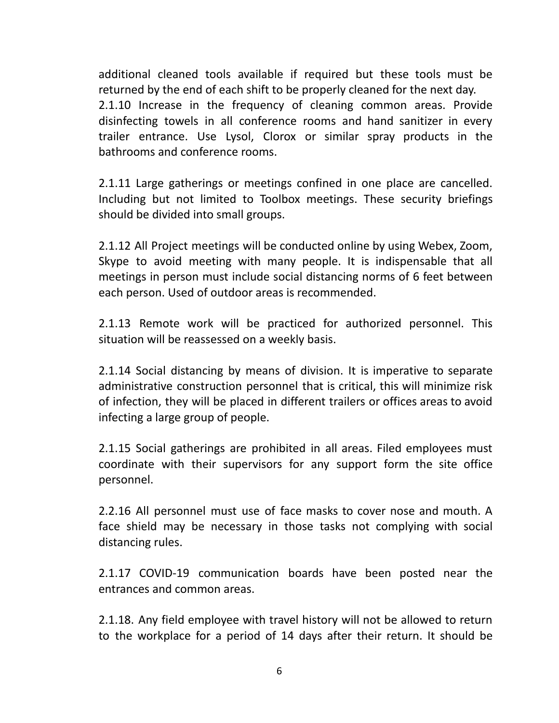additional cleaned tools available if required but these tools must be returned by the end of each shift to be properly cleaned for the next day. 2.1.10 Increase in the frequency of cleaning common areas. Provide disinfecting towels in all conference rooms and hand sanitizer in every trailer entrance. Use Lysol, Clorox or similar spray products in the bathrooms and conference rooms.

2.1.11 Large gatherings or meetings confined in one place are cancelled. Including but not limited to Toolbox meetings. These security briefings should be divided into small groups.

2.1.12 All Project meetings will be conducted online by using Webex, Zoom, Skype to avoid meeting with many people. It is indispensable that all meetings in person must include social distancing norms of 6 feet between each person. Used of outdoor areas is recommended.

2.1.13 Remote work will be practiced for authorized personnel. This situation will be reassessed on a weekly basis.

2.1.14 Social distancing by means of division. It is imperative to separate administrative construction personnel that is critical, this will minimize risk of infection, they will be placed in different trailers or offices areas to avoid infecting a large group of people.

2.1.15 Social gatherings are prohibited in all areas. Filed employees must coordinate with their supervisors for any support form the site office personnel.

2.2.16 All personnel must use of face masks to cover nose and mouth. A face shield may be necessary in those tasks not complying with social distancing rules.

2.1.17 COVID-19 communication boards have been posted near the entrances and common areas.

2.1.18. Any field employee with travel history will not be allowed to return to the workplace for a period of 14 days after their return. It should be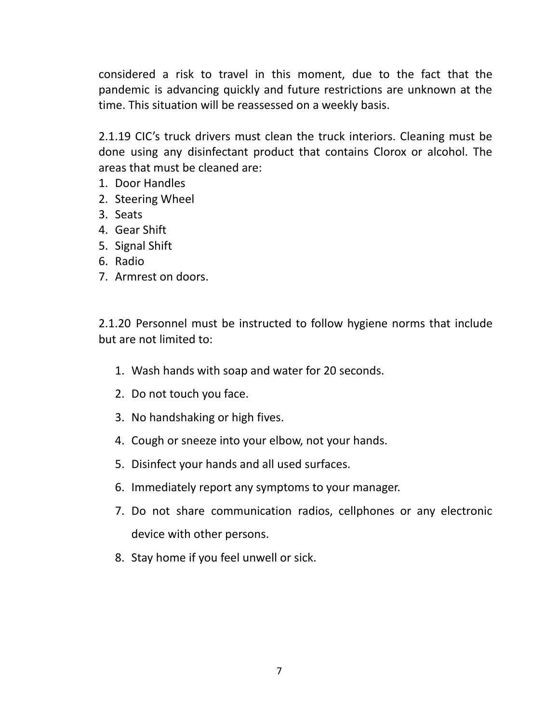considered a risk to travel in this moment, due to the fact that the pandemic is advancing quickly and future restrictions are unknown at the time. This situation will be reassessed on a weekly basis.

2.1.19 CIC's truck drivers must clean the truck interiors. Cleaning must be done using any disinfectant product that contains Clorox or alcohol. The areas that must be cleaned are:

- 1. Door Handles
- 2. Steering Wheel
- 3. Seats
- 4. Gear Shift
- 5. Signal Shift
- 6. Radio
- 7. Armrest on doors.

2.1.20 Personnel must be instructed to follow hygiene norms that include but are not limited to:

- 1. Wash hands with soap and water for 20 seconds.
- 2. Do not touch you face.
- 3. No handshaking or high fives.
- 4. Cough or sneeze into your elbow, not your hands.
- 5. Disinfect your hands and all used surfaces.
- 6. Immediately report any symptoms to your manager.
- 7. Do not share communication radios, cellphones or any electronic device with other persons.
- 8. Stay home if you feel unwell or sick.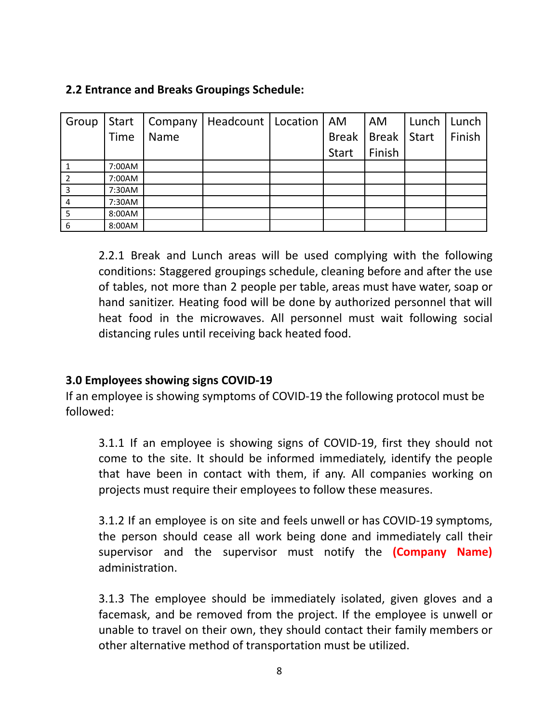## **2.2 Entrance and Breaks Groupings Schedule:**

| Group | <b>Start</b> | Company     | Headcount   Location | AM           | <b>AM</b>    | Lunch        | Lunch  |
|-------|--------------|-------------|----------------------|--------------|--------------|--------------|--------|
|       | <b>Time</b>  | <b>Name</b> |                      | <b>Break</b> | <b>Break</b> | <b>Start</b> | Finish |
|       |              |             |                      | <b>Start</b> | Finish       |              |        |
|       | 7:00AM       |             |                      |              |              |              |        |
|       | 7:00AM       |             |                      |              |              |              |        |
| 3     | 7:30AM       |             |                      |              |              |              |        |
| 4     | 7:30AM       |             |                      |              |              |              |        |
| 5     | 8:00AM       |             |                      |              |              |              |        |
| 6     | 8:00AM       |             |                      |              |              |              |        |

2.2.1 Break and Lunch areas will be used complying with the following conditions: Staggered groupings schedule, cleaning before and after the use of tables, not more than 2 people per table, areas must have water, soap or hand sanitizer. Heating food will be done by authorized personnel that will heat food in the microwaves. All personnel must wait following social distancing rules until receiving back heated food.

# **3.0 Employees showing signs COVID-19**

If an employee is showing symptoms of COVID-19 the following protocol must be followed:

3.1.1 If an employee is showing signs of COVID-19, first they should not come to the site. It should be informed immediately, identify the people that have been in contact with them, if any. All companies working on projects must require their employees to follow these measures.

3.1.2 If an employee is on site and feels unwell or has COVID-19 symptoms, the person should cease all work being done and immediately call their supervisor and the supervisor must notify the **(Company Name)** administration.

3.1.3 The employee should be immediately isolated, given gloves and a facemask, and be removed from the project. If the employee is unwell or unable to travel on their own, they should contact their family members or other alternative method of transportation must be utilized.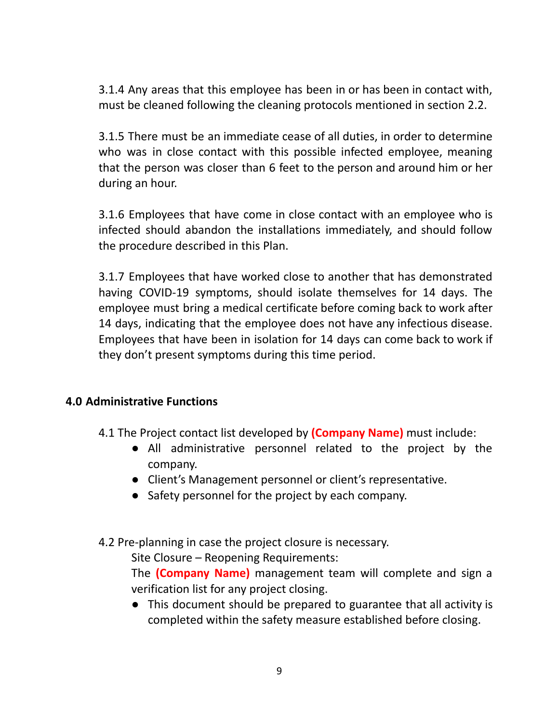3.1.4 Any areas that this employee has been in or has been in contact with, must be cleaned following the cleaning protocols mentioned in section 2.2.

3.1.5 There must be an immediate cease of all duties, in order to determine who was in close contact with this possible infected employee, meaning that the person was closer than 6 feet to the person and around him or her during an hour.

3.1.6 Employees that have come in close contact with an employee who is infected should abandon the installations immediately, and should follow the procedure described in this Plan.

3.1.7 Employees that have worked close to another that has demonstrated having COVID-19 symptoms, should isolate themselves for 14 days. The employee must bring a medical certificate before coming back to work after 14 days, indicating that the employee does not have any infectious disease. Employees that have been in isolation for 14 days can come back to work if they don't present symptoms during this time period.

#### **4.0 Administrative Functions**

4.1 The Project contact list developed by **(Company Name)** must include:

- All administrative personnel related to the project by the company.
- Client's Management personnel or client's representative.
- Safety personnel for the project by each company.
- 4.2 Pre-planning in case the project closure is necessary.

Site Closure – Reopening Requirements:

The **(Company Name)** management team will complete and sign a verification list for any project closing.

● This document should be prepared to guarantee that all activity is completed within the safety measure established before closing.